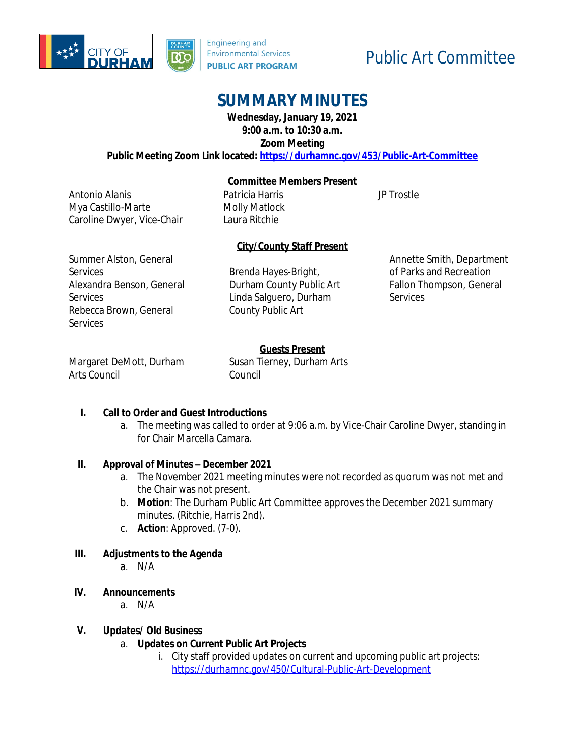



Patricia Harris Molly Matlock Laura Ritchie

# Public Art Committee

# **SUMMARY MINUTES**

**Wednesday, January 19, 2021 9:00 a.m. to 10:30 a.m.**

**Zoom Meeting**

#### **Public Meeting Zoom Link located: <https://durhamnc.gov/453/Public-Art-Committee>**

**Committee Members Present**

JP Trostle

Antonio Alanis Mya Castillo-Marte Caroline Dwyer, Vice-Chair

### **City/County Staff Present**

Summer Alston, General **Services** Alexandra Benson, General **Services** Rebecca Brown, General **Services** 

Brenda Hayes-Bright, Durham County Public Art Linda Salguero, Durham County Public Art

Annette Smith, Department of Parks and Recreation Fallon Thompson, General **Services** 

## **Guests Present**

Margaret DeMott, Durham Arts Council

Susan Tierney, Durham Arts Council

#### **I. Call to Order and Guest Introductions**

a. The meeting was called to order at 9:06 a.m. by Vice-Chair Caroline Dwyer, standing in for Chair Marcella Camara.

#### **II. Approval of Minutes – December 2021**

- a. The November 2021 meeting minutes were not recorded as quorum was not met and the Chair was not present.
- b. **Motion**: The Durham Public Art Committee approves the December 2021 summary minutes. (Ritchie, Harris 2nd).
- c. **Action**: Approved. (7-0).

#### **III. Adjustments to the Agenda**

- a. N/A
- **IV. Announcements**
	- a. N/A

#### **V. Updates/ Old Business**

- a. **Updates on Current Public Art Projects**
	- i. City staff provided updates on current and upcoming public art projects: <https://durhamnc.gov/450/Cultural-Public-Art-Development>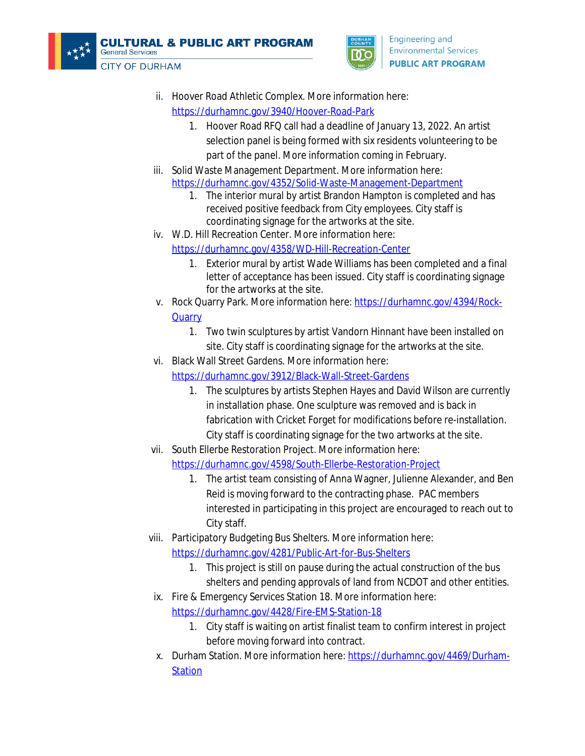



- ii. Hoover Road Athletic Complex. More information here: <https://durhamnc.gov/3940/Hoover-Road-Park>
	- 1. Hoover Road RFQ call had a deadline of January 13, 2022. An artist selection panel is being formed with six residents volunteering to be part of the panel. More information coming in February.
- iii. Solid Waste Management Department. More information here: <https://durhamnc.gov/4352/Solid-Waste-Management-Department>
	- 1. The interior mural by artist Brandon Hampton is completed and has received positive feedback from City employees. City staff is coordinating signage for the artworks at the site.
- iv. W.D. Hill Recreation Center. More information here:
	- <https://durhamnc.gov/4358/WD-Hill-Recreation-Center>
		- 1. [Exterior mural by artist Wade Williams has been completed and a final](https://durhamnc.gov/4358/WD-Hill-Recreation-Center)  [letter of acceptance has been issued.](https://durhamnc.gov/4358/WD-Hill-Recreation-Center) [City staff is coordinating signage](https://durhamnc.gov/4358/WD-Hill-Recreation-Center)  [for the artworks at the site.](https://durhamnc.gov/4358/WD-Hill-Recreation-Center)
- v. [Rock Quarry Park. More information here:](https://durhamnc.gov/4358/WD-Hill-Recreation-Center) [https://durhamnc.gov/4394/Rock-](https://durhamnc.gov/4394/Rock-Quarry)**Quarry** 
	- 1. Two twin sculptures by artist Vandorn Hinnant have been installed on site. City staff is coordinating signage for the artworks at the site.
- vi. Black Wall Street Gardens. More information here:
	- <https://durhamnc.gov/3912/Black-Wall-Street-Gardens>
		- 1. The sculptures by artists Stephen Hayes and David Wilson are currently in installation phase. One sculpture was removed and is back in fabrication with Cricket Forget for modifications before re-installation. City staff is coordinating signage for the two artworks at the site.
- vii. South Ellerbe Restoration Project. More information here:

<https://durhamnc.gov/4598/South-Ellerbe-Restoration-Project>

- 1. The artist team consisting of Anna Wagner, Julienne Alexander, and Ben Reid is moving forward to the contracting phase. PAC members interested in participating in this project are encouraged to reach out to City staff.
- viii. Participatory Budgeting Bus Shelters. More information here: <https://durhamnc.gov/4281/Public-Art-for-Bus-Shelters>
	- 1. This project is still on pause during the actual construction of the bus shelters and pending approvals of land from NCDOT and other entities.
	- ix. Fire & Emergency Services Station 18. More information here: <https://durhamnc.gov/4428/Fire-EMS-Station-18>
		- 1. City staff is waiting on artist finalist team to confirm interest in project before moving forward into contract.
	- x. Durham Station. More information here: [https://durhamnc.gov/4469/Durham-](https://durhamnc.gov/4469/Durham-Station)**Station**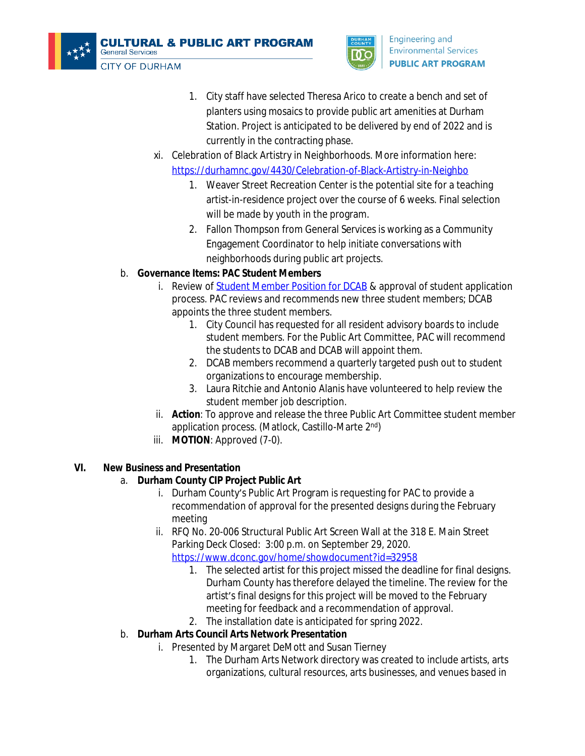



- 1. City staff have selected Theresa Arico to create a bench and set of planters using mosaics to provide public art amenities at Durham Station. Project is anticipated to be delivered by end of 2022 and is currently in the contracting phase.
- xi. Celebration of Black Artistry in Neighborhoods. More information here: <https://durhamnc.gov/4430/Celebration-of-Black-Artistry-in-Neighbo>
	- 1. Weaver Street Recreation Center is the potential site for a teaching artist-in-residence project over the course of 6 weeks. Final selection will be made by youth in the program.
	- 2. Fallon Thompson from General Services is working as a Community Engagement Coordinator to help initiate conversations with neighborhoods during public art projects.

## b. **Governance Items: PAC Student Members**

- i. Review of **Student Member Position for DCAB** & approval of student application process. PAC reviews and recommends new three student members; DCAB appoints the three student members.
	- 1. City Council has requested for all resident advisory boards to include student members. For the Public Art Committee, PAC will recommend the students to DCAB and DCAB will appoint them.
	- 2. DCAB members recommend a quarterly targeted push out to student organizations to encourage membership.
	- 3. Laura Ritchie and Antonio Alanis have volunteered to help review the student member job description.
- ii. **Action**: To approve and release the three Public Art Committee student member application process. (Matlock, Castillo-Marte 2nd)
- iii. **MOTION**: Approved (7-0).

# **VI. New Business and Presentation**

# a. **Durham County CIP Project Public Art**

- i. Durham County's Public Art Program is requesting for PAC to provide a recommendation of approval for the presented designs during the February meeting
- ii. RFQ No. 20-006 Structural Public Art Screen Wall at the 318 E. Main Street Parking Deck Closed: 3:00 p.m. on September 29, 2020. <https://www.dconc.gov/home/showdocument?id=32958>
	- 1. The selected artist for this project missed the deadline for final designs. Durham County has therefore delayed the timeline. The review for the artist's final designs for this project will be moved to the February meeting for feedback and a recommendation of approval.
	- 2. The installation date is anticipated for spring 2022.

# b. **Durham Arts Council Arts Network Presentation**

- i. Presented by Margaret DeMott and Susan Tierney
	- 1. The Durham Arts Network directory was created to include artists, arts organizations, cultural resources, arts businesses, and venues based in